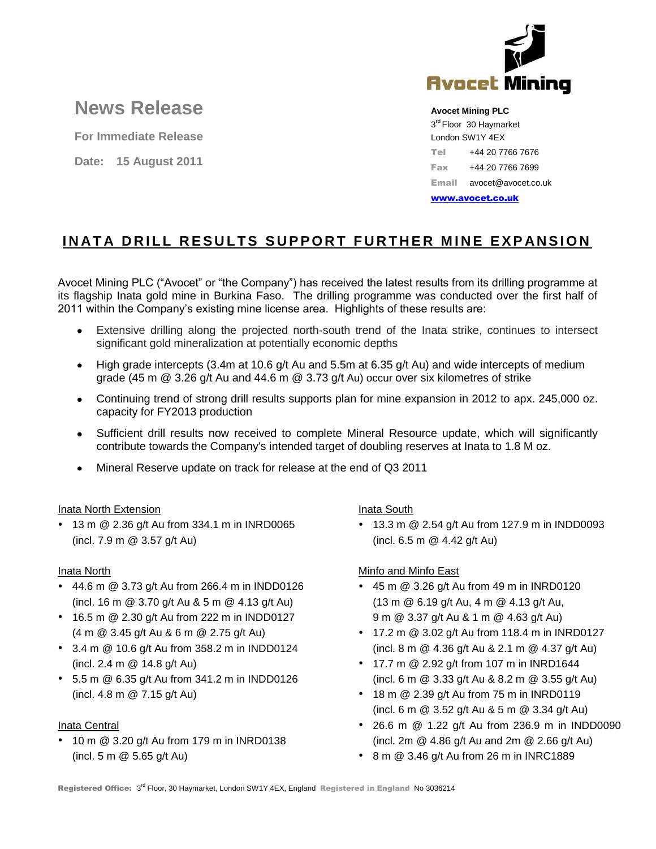

# **News Release**

**For Immediate Release**

**Date: 15 August 2011**

**Avocet Mining PLC**

3<sup>rd</sup> Floor 30 Haymarket London SW1Y 4EX Tel +44 20 7766 7676 Fax +44 20 7766 7699 Email avocet@avocet.co.uk

[www.avocet.co.uk](http://www.avocet.co.uk/)

## **INATA DRILL RESULTS SUPPORT FURTHER MINE EXPANSION**

Avocet Mining PLC ("Avocet" or "the Company") has received the latest results from its drilling programme at its flagship Inata gold mine in Burkina Faso. The drilling programme was conducted over the first half of 2011 within the Company's existing mine license area. Highlights of these results are:

- Extensive drilling along the projected north-south trend of the Inata strike, continues to intersect significant gold mineralization at potentially economic depths
- High grade intercepts (3.4m at 10.6 g/t Au and 5.5m at 6.35 g/t Au) and wide intercepts of medium grade (45 m  $@$  3.26 g/t Au and 44.6 m  $@$  3.73 g/t Au) occur over six kilometres of strike
- Continuing trend of strong drill results supports plan for mine expansion in 2012 to apx. 245,000 oz. capacity for FY2013 production
- Sufficient drill results now received to complete Mineral Resource update, which will significantly  $\bullet$ contribute towards the Company's intended target of doubling reserves at Inata to 1.8 M oz.
- Mineral Reserve update on track for release at the end of Q3 2011

#### Inata North Extension

• 13 m @ 2.36 g/t Au from 334.1 m in INRD0065 (incl. 7.9 m @ 3.57 g/t Au)

#### Inata North

- 44.6 m @ 3.73 g/t Au from 266.4 m in INDD0126 (incl. 16 m @ 3.70 g/t Au & 5 m @ 4.13 g/t Au)
- 16.5 m @ 2.30 g/t Au from 222 m in INDD0127 (4 m @ 3.45 g/t Au & 6 m @ 2.75 g/t Au)
- 3.4 m @ 10.6 g/t Au from 358.2 m in INDD0124 (incl. 2.4 m @ 14.8 g/t Au)
- 5.5 m @ 6.35 g/t Au from 341.2 m in INDD0126 (incl. 4.8 m @ 7.15 g/t Au)

#### Inata Central

 $\cdot$  10 m  $\omega$  3.20 g/t Au from 179 m in INRD0138 (incl. 5 m @ 5.65 g/t Au)

Inata South

 13.3 m @ 2.54 g/t Au from 127.9 m in INDD0093 (incl. 6.5 m @ 4.42 g/t Au)

#### Minfo and Minfo East

- 45 m @ 3.26 g/t Au from 49 m in INRD0120 (13 m @ 6.19 g/t Au, 4 m @ 4.13 g/t Au, 9 m @ 3.37 g/t Au & 1 m @ 4.63 g/t Au)
- 17.2 m @ 3.02 g/t Au from 118.4 m in INRD0127 (incl. 8 m @ 4.36 g/t Au & 2.1 m @ 4.37 g/t Au)
- 17.7 m @ 2.92 g/t from 107 m in INRD1644 (incl. 6 m @ 3.33 g/t Au & 8.2 m @ 3.55 g/t Au)
- 18 m @ 2.39 g/t Au from 75 m in INRD0119 (incl. 6 m @ 3.52 g/t Au & 5 m @ 3.34 g/t Au)
- [26.6 m @ 1.22 g/t](mailto:26.6m@1.22g/t) Au from 236.9 m in INDD0090 (incl. 2m @ 4.86 g/t Au and 2m @ 2.66 g/t Au)
- 8 m @ 3.46 g/t Au from 26 m in INRC1889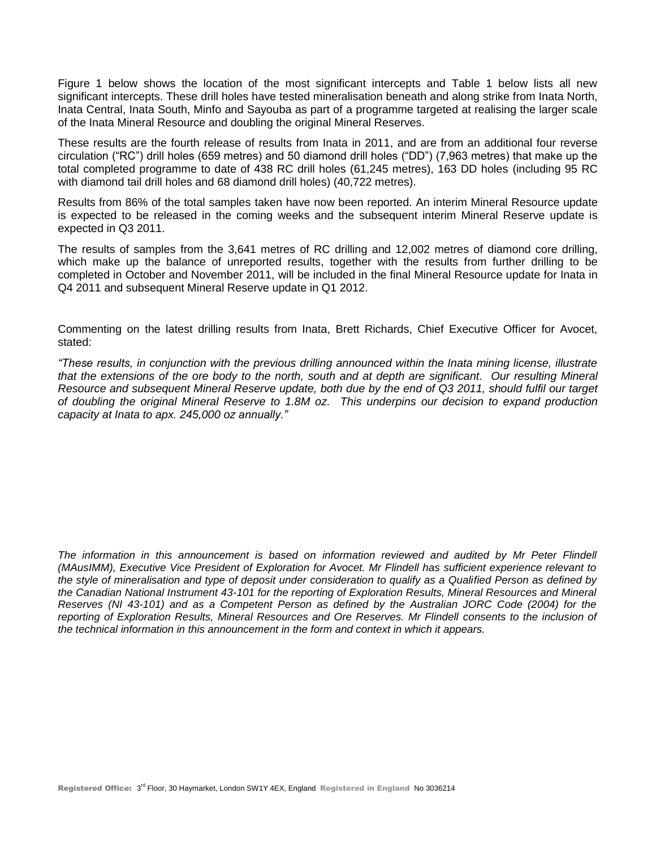Figure 1 below shows the location of the most significant intercepts and Table 1 below lists all new significant intercepts. These drill holes have tested mineralisation beneath and along strike from Inata North, Inata Central, Inata South, Minfo and Sayouba as part of a programme targeted at realising the larger scale of the Inata Mineral Resource and doubling the original Mineral Reserves.

These results are the fourth release of results from Inata in 2011, and are from an additional four reverse circulation ("RC") drill holes (659 metres) and 50 diamond drill holes ("DD") (7,963 metres) that make up the total completed programme to date of 438 RC drill holes (61,245 metres), 163 DD holes (including 95 RC with diamond tail drill holes and 68 diamond drill holes) (40,722 metres).

Results from 86% of the total samples taken have now been reported. An interim Mineral Resource update is expected to be released in the coming weeks and the subsequent interim Mineral Reserve update is expected in Q3 2011.

The results of samples from the 3,641 metres of RC drilling and 12,002 metres of diamond core drilling, which make up the balance of unreported results, together with the results from further drilling to be completed in October and November 2011, will be included in the final Mineral Resource update for Inata in Q4 2011 and subsequent Mineral Reserve update in Q1 2012.

Commenting on the latest drilling results from Inata, Brett Richards, Chief Executive Officer for Avocet, stated:

*"These results, in conjunction with the previous drilling announced within the Inata mining license, illustrate*  that the extensions of the ore body to the north, south and at depth are significant. Our resulting Mineral *Resource and subsequent Mineral Reserve update, both due by the end of Q3 2011, should fulfil our target of doubling the original Mineral Reserve to 1.8M oz. This underpins our decision to expand production capacity at Inata to apx. 245,000 oz annually."*

*The information in this announcement is based on information reviewed and audited by Mr Peter Flindell (MAusIMM), Executive Vice President of Exploration for Avocet. Mr Flindell has sufficient experience relevant to the style of mineralisation and type of deposit under consideration to qualify as a Qualified Person as defined by the Canadian National Instrument 43-101 for the reporting of Exploration Results, Mineral Resources and Mineral Reserves (NI 43-101) and as a Competent Person as defined by the Australian JORC Code (2004) for the*  reporting of Exploration Results, Mineral Resources and Ore Reserves. Mr Flindell consents to the inclusion of *the technical information in this announcement in the form and context in which it appears.*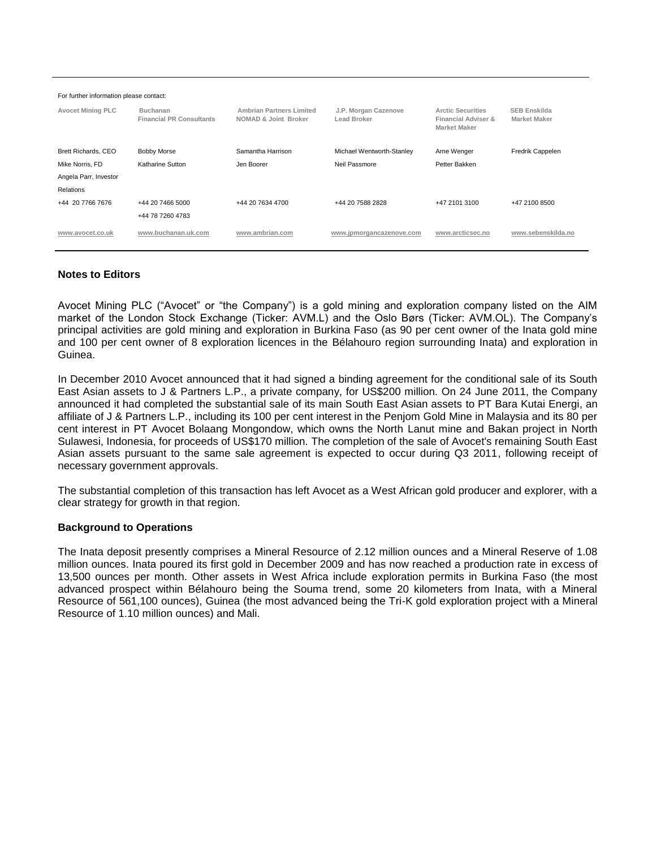| For further information please contact: |                                                    |                                                         |                                     |                                                                                   |                                            |  |  |  |  |  |
|-----------------------------------------|----------------------------------------------------|---------------------------------------------------------|-------------------------------------|-----------------------------------------------------------------------------------|--------------------------------------------|--|--|--|--|--|
| <b>Avocet Mining PLC</b>                | <b>Buchanan</b><br><b>Financial PR Consultants</b> | <b>Ambrian Partners Limited</b><br>NOMAD & Joint Broker | J.P. Morgan Cazenove<br>Lead Broker | <b>Arctic Securities</b><br><b>Financial Adviser &amp;</b><br><b>Market Maker</b> | <b>SEB Enskilda</b><br><b>Market Maker</b> |  |  |  |  |  |
| Brett Richards, CEO                     | <b>Bobby Morse</b>                                 | Samantha Harrison                                       | Michael Wentworth-Stanley           | Arne Wenger                                                                       | Fredrik Cappelen                           |  |  |  |  |  |
| Mike Norris, FD                         | Katharine Sutton                                   | Jen Boorer                                              | Neil Passmore                       | Petter Bakken                                                                     |                                            |  |  |  |  |  |
| Angela Parr, Investor                   |                                                    |                                                         |                                     |                                                                                   |                                            |  |  |  |  |  |
| Relations                               |                                                    |                                                         |                                     |                                                                                   |                                            |  |  |  |  |  |
| +44 20 7766 7676                        | +44 20 7466 5000                                   | +44 20 7634 4700                                        | +44 20 7588 2828                    | +47 2101 3100                                                                     | +47 2100 8500                              |  |  |  |  |  |
|                                         | +44 78 7260 4783                                   |                                                         |                                     |                                                                                   |                                            |  |  |  |  |  |
| www.avocet.co.uk                        | www.buchanan.uk.com                                | www.ambrian.com                                         | www.jpmorgancazenove.com            | www.arcticsec.no                                                                  | www.sebenskilda.no                         |  |  |  |  |  |

#### **Notes to Editors**

Avocet Mining PLC ("Avocet" or "the Company") is a gold mining and exploration company listed on the AIM market of the London Stock Exchange (Ticker: AVM.L) and the Oslo Børs (Ticker: AVM.OL). The Company's principal activities are gold mining and exploration in Burkina Faso (as 90 per cent owner of the Inata gold mine and 100 per cent owner of 8 exploration licences in the Bélahouro region surrounding Inata) and exploration in Guinea.

In December 2010 Avocet announced that it had signed a binding agreement for the conditional sale of its South East Asian assets to J & Partners L.P., a private company, for US\$200 million. On 24 June 2011, the Company announced it had completed the substantial sale of its main South East Asian assets to PT Bara Kutai Energi, an affiliate of J & Partners L.P., including its 100 per cent interest in the Penjom Gold Mine in Malaysia and its 80 per cent interest in PT Avocet Bolaang Mongondow, which owns the North Lanut mine and Bakan project in North Sulawesi, Indonesia, for proceeds of US\$170 million. The completion of the sale of Avocet's remaining South East Asian assets pursuant to the same sale agreement is expected to occur during Q3 2011, following receipt of necessary government approvals.

The substantial completion of this transaction has left Avocet as a West African gold producer and explorer, with a clear strategy for growth in that region.

#### **Background to Operations**

The Inata deposit presently comprises a Mineral Resource of 2.12 million ounces and a Mineral Reserve of 1.08 million ounces. Inata poured its first gold in December 2009 and has now reached a production rate in excess of 13,500 ounces per month. Other assets in West Africa include exploration permits in Burkina Faso (the most advanced prospect within Bélahouro being the Souma trend, some 20 kilometers from Inata, with a Mineral Resource of 561,100 ounces), Guinea (the most advanced being the Tri-K gold exploration project with a Mineral Resource of 1.10 million ounces) and Mali.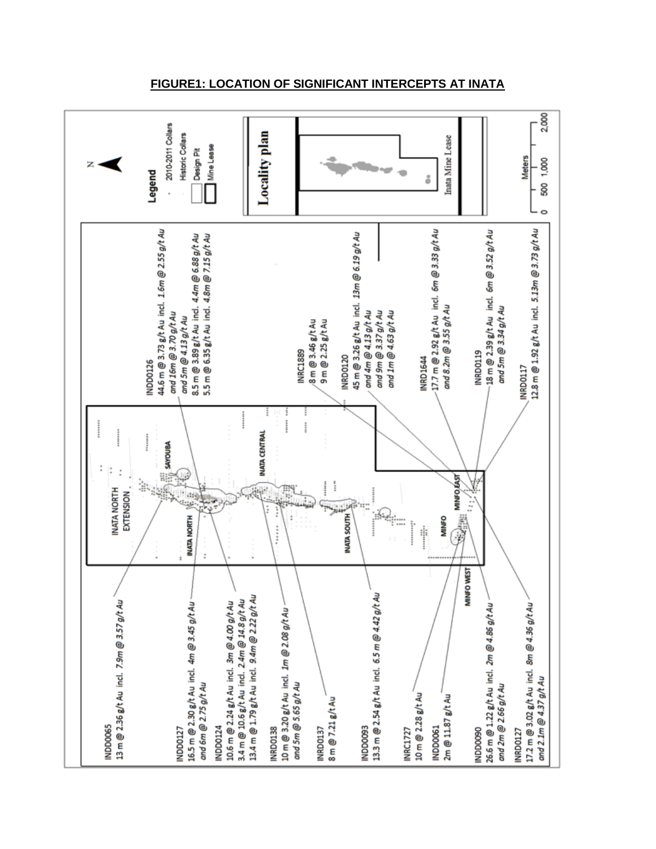

#### **FIGURE1: LOCATION OF SIGNIFICANT INTERCEPTS AT INATA**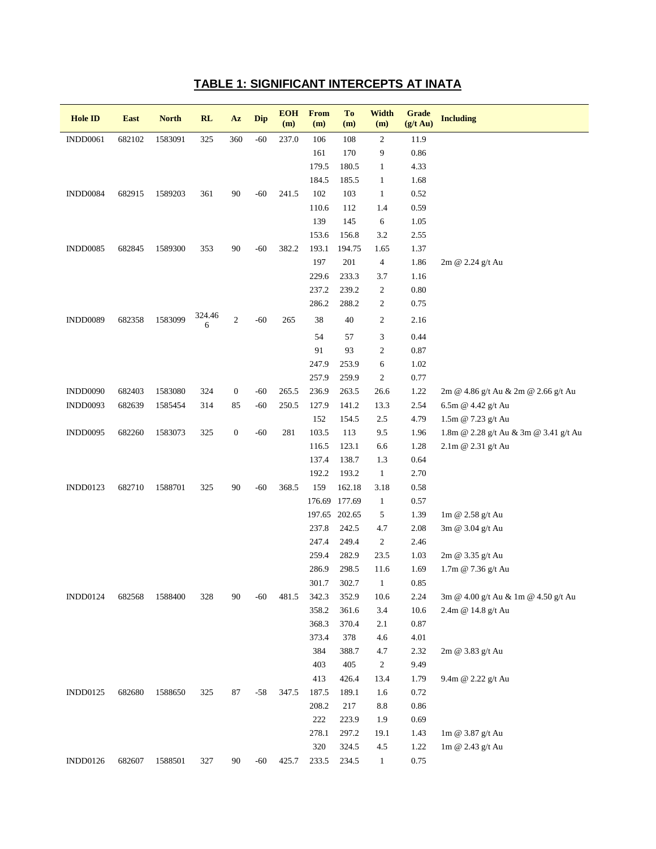### **TABLE 1: SIGNIFICANT INTERCEPTS AT INATA**

| <b>Hole ID</b>  | <b>East</b> | <b>North</b> | <b>RL</b>   | Az               | <b>Dip</b> | <b>EOH</b><br>(m) | <b>From</b><br>(m) | To<br>(m)     | <b>Width</b><br>(m) | Grade<br>$(g/t \text{ Au})$ | <b>Including</b>                      |
|-----------------|-------------|--------------|-------------|------------------|------------|-------------------|--------------------|---------------|---------------------|-----------------------------|---------------------------------------|
| <b>INDD0061</b> | 682102      | 1583091      | 325         | 360              | $-60$      | 237.0             | 106                | 108           | $\overline{c}$      | 11.9                        |                                       |
|                 |             |              |             |                  |            |                   | 161                | 170           | 9                   | 0.86                        |                                       |
|                 |             |              |             |                  |            |                   | 179.5              | 180.5         | $\mathbf{1}$        | 4.33                        |                                       |
|                 |             |              |             |                  |            |                   | 184.5              | 185.5         | $\mathbf{1}$        | 1.68                        |                                       |
| INDD0084        | 682915      | 1589203      | 361         | 90               | $-60$      | 241.5             | 102                | 103           | $\mathbf{1}$        | 0.52                        |                                       |
|                 |             |              |             |                  |            |                   | 110.6              | 112           | 1.4                 | 0.59                        |                                       |
|                 |             |              |             |                  |            |                   | 139                | 145           | 6                   | 1.05                        |                                       |
|                 |             |              |             |                  |            |                   | 153.6              | 156.8         | 3.2                 | 2.55                        |                                       |
| <b>INDD0085</b> | 682845      | 1589300      | 353         | 90               | $-60$      | 382.2             | 193.1              | 194.75        | 1.65                | 1.37                        |                                       |
|                 |             |              |             |                  |            |                   | 197                | 201           | $\overline{4}$      | 1.86                        | 2m @ 2.24 g/t Au                      |
|                 |             |              |             |                  |            |                   | 229.6              | 233.3         | 3.7                 | 1.16                        |                                       |
|                 |             |              |             |                  |            |                   | 237.2              | 239.2         | $\overline{c}$      | 0.80                        |                                       |
|                 |             |              |             |                  |            |                   | 286.2              | 288.2         | $\overline{c}$      | 0.75                        |                                       |
| <b>INDD0089</b> | 682358      | 1583099      | 324.46<br>6 | $\mathfrak{2}$   | $-60$      | 265               | 38                 | 40            | $\overline{c}$      | 2.16                        |                                       |
|                 |             |              |             |                  |            |                   | 54                 | 57            | 3                   | 0.44                        |                                       |
|                 |             |              |             |                  |            |                   | 91                 | 93            | $\mathfrak{2}$      | 0.87                        |                                       |
|                 |             |              |             |                  |            |                   | 247.9              | 253.9         | 6                   | 1.02                        |                                       |
|                 |             |              |             |                  |            |                   | 257.9              | 259.9         | $\overline{c}$      | 0.77                        |                                       |
| <b>INDD0090</b> | 682403      | 1583080      | 324         | $\boldsymbol{0}$ | $-60$      | 265.5             | 236.9              | 263.5         | 26.6                | 1.22                        | 2m @ 4.86 g/t Au & 2m @ 2.66 g/t Au   |
| INDD0093        | 682639      | 1585454      | 314         | 85               | $-60$      | 250.5             | 127.9              | 141.2         | 13.3                | 2.54                        | 6.5m @ 4.42 g/t Au                    |
|                 |             |              |             |                  |            |                   | 152                | 154.5         | 2.5                 | 4.79                        | 1.5m @ 7.23 g/t Au                    |
| INDD0095        | 682260      | 1583073      | 325         | $\boldsymbol{0}$ | $-60$      | 281               | 103.5              | 113           | 9.5                 | 1.96                        | 1.8m @ 2.28 g/t Au & 3m @ 3.41 g/t Au |
|                 |             |              |             |                  |            |                   | 116.5              | 123.1         | 6.6                 | 1.28                        | 2.1m @ 2.31 g/t Au                    |
|                 |             |              |             |                  |            |                   | 137.4              | 138.7         | 1.3                 | 0.64                        |                                       |
|                 |             |              |             |                  |            |                   | 192.2              | 193.2         | $\mathbf{1}$        | 2.70                        |                                       |
| INDD0123        | 682710      | 1588701      | 325         | 90               | $-60$      | 368.5             | 159                | 162.18        | 3.18                | 0.58                        |                                       |
|                 |             |              |             |                  |            |                   | 176.69             | 177.69        | $\mathbf{1}$        | 0.57                        |                                       |
|                 |             |              |             |                  |            |                   |                    | 197.65 202.65 | 5                   | 1.39                        | 1m @ 2.58 g/t Au                      |
|                 |             |              |             |                  |            |                   | 237.8              | 242.5         | 4.7                 | 2.08                        | 3m @ 3.04 g/t Au                      |
|                 |             |              |             |                  |            |                   | 247.4              | 249.4         | $\boldsymbol{2}$    | 2.46                        |                                       |
|                 |             |              |             |                  |            |                   | 259.4              | 282.9         | 23.5                | 1.03                        | 2m @ 3.35 g/t Au                      |
|                 |             |              |             |                  |            |                   | 286.9              | 298.5         | 11.6                | 1.69                        | 1.7m @ 7.36 g/t Au                    |
|                 |             |              |             |                  |            |                   | 301.7              | 302.7         | $\mathbf{1}$        | 0.85                        |                                       |
| <b>INDD0124</b> | 682568      | 1588400      | 328         | 90               | $-60$      | 481.5             | 342.3              | 352.9         | 10.6                | 2.24                        | 3m @ 4.00 g/t Au & 1m @ 4.50 g/t Au   |
|                 |             |              |             |                  |            |                   | 358.2              | 361.6         | 3.4                 | 10.6                        | 2.4m @ 14.8 g/t Au                    |
|                 |             |              |             |                  |            |                   | 368.3              | 370.4         | 2.1                 | 0.87                        |                                       |
|                 |             |              |             |                  |            |                   | 373.4              | 378           | 4.6                 | 4.01                        |                                       |
|                 |             |              |             |                  |            |                   | 384                | 388.7         | 4.7                 | 2.32                        | 2m @ 3.83 g/t Au                      |
|                 |             |              |             |                  |            |                   | 403                | 405           | $\overline{c}$      | 9.49                        |                                       |
|                 |             |              |             |                  |            |                   | 413                | 426.4         | 13.4                | 1.79                        | 9.4m @ 2.22 g/t Au                    |
| INDD0125        | 682680      | 1588650      | 325         | 87               | $-58$      | 347.5             | 187.5              | 189.1         | 1.6                 | 0.72                        |                                       |
|                 |             |              |             |                  |            |                   | 208.2              | 217           | $\!\!\!\!\!8.8$     | 0.86                        |                                       |
|                 |             |              |             |                  |            |                   | 222                | 223.9         | 1.9                 | 0.69                        |                                       |
|                 |             |              |             |                  |            |                   | 278.1              | 297.2         | 19.1                | 1.43                        | 1m @ 3.87 g/t Au                      |
|                 |             |              |             |                  |            |                   | 320                | 324.5         | 4.5                 | 1.22                        | $1\text{m} \ @$ 2.43 g/t Au           |
| INDD0126        | 682607      | 1588501      | 327         | 90               | $-60$      | 425.7             | 233.5              | 234.5         | $\mathbf{1}$        | 0.75                        |                                       |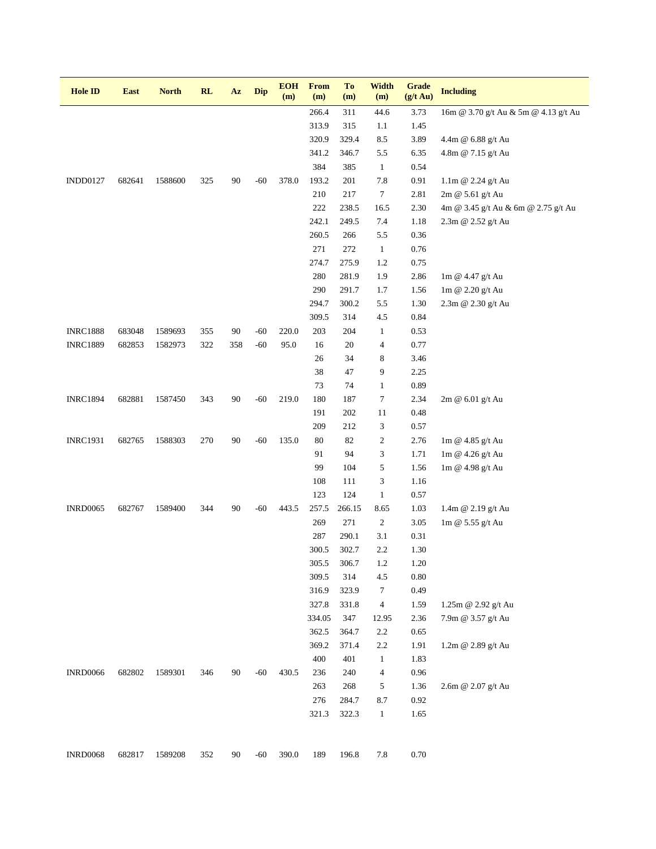| <b>Hole ID</b>  | <b>East</b> | <b>North</b> | <b>RL</b> | Az  | <b>Dip</b> | <b>EOH</b><br>(m) | <b>From</b><br>(m) | To<br>(m) | <b>Width</b><br>(m)      | <b>Grade</b><br>$(g/t \text{ Au})$ | <b>Including</b>                     |
|-----------------|-------------|--------------|-----------|-----|------------|-------------------|--------------------|-----------|--------------------------|------------------------------------|--------------------------------------|
|                 |             |              |           |     |            |                   | 266.4              | 311       | 44.6                     | 3.73                               | 16m @ 3.70 g/t Au & 5m @ 4.13 g/t Au |
|                 |             |              |           |     |            |                   | 313.9              | 315       | 1.1                      | 1.45                               |                                      |
|                 |             |              |           |     |            |                   | 320.9              | 329.4     | 8.5                      | 3.89                               | 4.4m @ 6.88 g/t Au                   |
|                 |             |              |           |     |            |                   | 341.2              | 346.7     | 5.5                      | 6.35                               | 4.8m @ 7.15 g/t Au                   |
|                 |             |              |           |     |            |                   | 384                | 385       | $\mathbf{1}$             | 0.54                               |                                      |
| <b>INDD0127</b> | 682641      | 1588600      | 325       | 90  | $-60$      | 378.0             | 193.2              | 201       | 7.8                      | 0.91                               | 1.1m @ 2.24 g/t Au                   |
|                 |             |              |           |     |            |                   | 210                | 217       | $\boldsymbol{7}$         | 2.81                               | 2m @ 5.61 g/t Au                     |
|                 |             |              |           |     |            |                   | $222\,$            | 238.5     | 16.5                     | 2.30                               | 4m @ 3.45 g/t Au & 6m @ 2.75 g/t Au  |
|                 |             |              |           |     |            |                   | 242.1              | 249.5     | 7.4                      | 1.18                               | 2.3m @ 2.52 g/t Au                   |
|                 |             |              |           |     |            |                   | 260.5              | 266       | 5.5                      | 0.36                               |                                      |
|                 |             |              |           |     |            |                   | 271                | 272       | $\mathbf{1}$             | 0.76                               |                                      |
|                 |             |              |           |     |            |                   | 274.7              | 275.9     | 1.2                      | 0.75                               |                                      |
|                 |             |              |           |     |            |                   | 280                | 281.9     | 1.9                      | 2.86                               | 1m @ 4.47 g/t Au                     |
|                 |             |              |           |     |            |                   | 290                | 291.7     | 1.7                      | 1.56                               | 1m @ 2.20 g/t Au                     |
|                 |             |              |           |     |            |                   | 294.7              | 300.2     | 5.5                      | 1.30                               | 2.3m @ 2.30 g/t Au                   |
|                 |             |              |           |     |            |                   | 309.5              | 314       | 4.5                      | 0.84                               |                                      |
| <b>INRC1888</b> | 683048      | 1589693      | 355       | 90  | $-60$      | 220.0             | 203                | 204       | $\mathbf{1}$             | 0.53                               |                                      |
| <b>INRC1889</b> | 682853      | 1582973      | 322       | 358 | $-60$      | 95.0              | 16                 | 20        | $\overline{\mathcal{A}}$ | 0.77                               |                                      |
|                 |             |              |           |     |            |                   | 26                 | 34        | 8                        | 3.46                               |                                      |
|                 |             |              |           |     |            |                   | 38                 | 47        | 9                        | 2.25                               |                                      |
|                 |             |              |           |     |            |                   | 73                 | 74        | $\mathbf{1}$             | 0.89                               |                                      |
| <b>INRC1894</b> | 682881      | 1587450      | 343       | 90  | $-60$      | 219.0             | 180                | 187       | $\boldsymbol{7}$         | 2.34                               | 2m @ 6.01 g/t Au                     |
|                 |             |              |           |     |            |                   | 191                | 202       | 11                       | 0.48                               |                                      |
|                 |             |              |           |     |            |                   | 209                | 212       | 3                        | 0.57                               |                                      |
| <b>INRC1931</b> | 682765      | 1588303      | 270       | 90  | $-60$      | 135.0             | 80                 | 82        | $\mathbf{2}$             | 2.76                               | 1m @ 4.85 g/t Au                     |
|                 |             |              |           |     |            |                   | 91                 | 94        | 3                        | 1.71                               | 1m @ 4.26 g/t Au                     |
|                 |             |              |           |     |            |                   | 99                 | 104       | 5                        | 1.56                               | 1m @ 4.98 g/t Au                     |
|                 |             |              |           |     |            |                   | 108                | 111       | 3                        | 1.16                               |                                      |
|                 |             |              |           |     |            |                   | 123                | 124       | $\mathbf{1}$             | 0.57                               |                                      |
| <b>INRD0065</b> | 682767      | 1589400      | 344       | 90  | $-60$      | 443.5             | 257.5              | 266.15    | 8.65                     | 1.03                               | 1.4m @ 2.19 g/t Au                   |
|                 |             |              |           |     |            |                   | 269                | 271       | $\overline{c}$           | 3.05                               | 1m @ $5.55$ g/t Au                   |
|                 |             |              |           |     |            |                   | 287                | 290.1     | 3.1                      | 0.31                               |                                      |
|                 |             |              |           |     |            |                   | 300.5              | 302.7     | 2.2                      | 1.30                               |                                      |
|                 |             |              |           |     |            |                   | 305.5              | 306.7     | 1.2                      | 1.20                               |                                      |
|                 |             |              |           |     |            |                   | 309.5              | 314       | 4.5                      | 0.80                               |                                      |
|                 |             |              |           |     |            |                   | 316.9              | 323.9     | $\tau$                   | 0.49                               |                                      |
|                 |             |              |           |     |            |                   | 327.8              | 331.8     | 4                        | 1.59                               | 1.25m @ 2.92 g/t Au                  |
|                 |             |              |           |     |            |                   | 334.05             | 347       | 12.95                    | 2.36                               | 7.9m @ 3.57 g/t Au                   |
|                 |             |              |           |     |            |                   | 362.5              | 364.7     | 2.2                      | 0.65                               |                                      |
|                 |             |              |           |     |            |                   | 369.2              | 371.4     | 2.2                      | 1.91                               | 1.2m @ 2.89 g/t Au                   |
|                 |             |              |           |     |            |                   | 400                | 401       | $\mathbf{1}$             | 1.83                               |                                      |
| <b>INRD0066</b> | 682802      | 1589301      | 346       | 90  | $-60$      | 430.5             | 236                | 240       | $\overline{\mathcal{A}}$ | 0.96                               |                                      |
|                 |             |              |           |     |            |                   | 263                | 268       | 5                        | 1.36                               | 2.6m @ 2.07 g/t Au                   |
|                 |             |              |           |     |            |                   | 276                | 284.7     | 8.7                      | 0.92                               |                                      |
|                 |             |              |           |     |            |                   | 321.3              | 322.3     | $\mathbf{1}$             | 1.65                               |                                      |
|                 |             |              |           |     |            |                   |                    |           |                          |                                    |                                      |
| <b>INRD0068</b> | 682817      | 1589208      | 352       | 90  | $-60$      | 390.0             | 189                | 196.8     | 7.8                      | 0.70                               |                                      |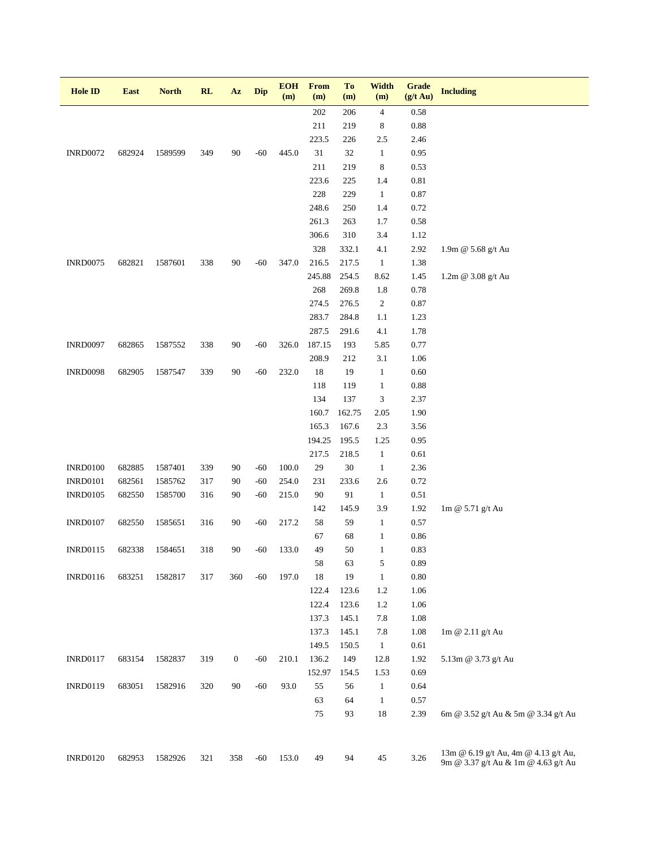| <b>Hole ID</b>  | <b>East</b> | <b>North</b> | RL  | Az               | Dip   | <b>EOH</b><br>(m) | <b>From</b><br>(m) | To<br>(m)      | <b>Width</b><br>(m)  | <b>Grade</b><br>$(g/t \text{ Au})$ | <b>Including</b>                                                            |
|-----------------|-------------|--------------|-----|------------------|-------|-------------------|--------------------|----------------|----------------------|------------------------------------|-----------------------------------------------------------------------------|
|                 |             |              |     |                  |       |                   | 202                | 206            | $\overline{4}$       | 0.58                               |                                                                             |
|                 |             |              |     |                  |       |                   | 211                | 219            | 8                    | 0.88                               |                                                                             |
|                 |             |              |     |                  |       |                   | 223.5              | 226            | 2.5                  | 2.46                               |                                                                             |
| <b>INRD0072</b> | 682924      | 1589599      | 349 | 90               | $-60$ | 445.0             | 31                 | $32\,$         | $\mathbf{1}$         | 0.95                               |                                                                             |
|                 |             |              |     |                  |       |                   | 211                | 219            | $\,8$                | 0.53                               |                                                                             |
|                 |             |              |     |                  |       |                   | 223.6              | 225            | 1.4                  | 0.81                               |                                                                             |
|                 |             |              |     |                  |       |                   | 228                | 229            | $\mathbf{1}$         | 0.87                               |                                                                             |
|                 |             |              |     |                  |       |                   | 248.6              | 250            | 1.4                  | 0.72                               |                                                                             |
|                 |             |              |     |                  |       |                   | 261.3              | 263            | 1.7                  | 0.58                               |                                                                             |
|                 |             |              |     |                  |       |                   | 306.6              | 310            | 3.4                  | 1.12                               |                                                                             |
|                 |             |              |     |                  |       |                   | 328                | 332.1          | 4.1                  | 2.92                               | 1.9m @ 5.68 g/t Au                                                          |
| <b>INRD0075</b> | 682821      | 1587601      | 338 | 90               | $-60$ | 347.0             | 216.5              | 217.5          | $\mathbf{1}$         | 1.38                               |                                                                             |
|                 |             |              |     |                  |       |                   | 245.88             | 254.5          | 8.62                 | 1.45                               | 1.2m @ 3.08 g/t Au                                                          |
|                 |             |              |     |                  |       |                   | 268                | 269.8          | 1.8                  | 0.78                               |                                                                             |
|                 |             |              |     |                  |       |                   | 274.5              | 276.5          | $\overline{c}$       | 0.87                               |                                                                             |
|                 |             |              |     |                  |       |                   | 283.7              | 284.8          | 1.1                  | 1.23                               |                                                                             |
|                 |             |              |     |                  |       |                   | 287.5              | 291.6          | 4.1                  | 1.78                               |                                                                             |
| <b>INRD0097</b> | 682865      | 1587552      | 338 | 90               | $-60$ | 326.0             | 187.15             | 193            | 5.85                 | 0.77                               |                                                                             |
|                 |             |              |     |                  |       |                   | 208.9              | 212            | 3.1                  | 1.06                               |                                                                             |
| <b>INRD0098</b> | 682905      | 1587547      | 339 | 90               | $-60$ | 232.0             | 18                 | 19             | $\mathbf{1}$         | 0.60                               |                                                                             |
|                 |             |              |     |                  |       |                   | 118                | 119            | $\mathbf{1}$         | 0.88                               |                                                                             |
|                 |             |              |     |                  |       |                   | 134                | 137            | 3                    | 2.37                               |                                                                             |
|                 |             |              |     |                  |       |                   | 160.7              | 162.75         | 2.05                 | 1.90                               |                                                                             |
|                 |             |              |     |                  |       |                   | 165.3<br>194.25    | 167.6          | 2.3                  | 3.56                               |                                                                             |
|                 |             |              |     |                  |       |                   | 217.5              | 195.5<br>218.5 | 1.25<br>$\mathbf{1}$ | 0.95<br>0.61                       |                                                                             |
| <b>INRD0100</b> | 682885      | 1587401      | 339 | 90               | $-60$ | 100.0             | 29                 | 30             | $\mathbf{1}$         | 2.36                               |                                                                             |
| <b>INRD0101</b> | 682561      | 1585762      | 317 | 90               | $-60$ | 254.0             | 231                | 233.6          | 2.6                  | 0.72                               |                                                                             |
| <b>INRD0105</b> | 682550      | 1585700      | 316 | 90               | $-60$ | 215.0             | 90                 | 91             | $\mathbf{1}$         | 0.51                               |                                                                             |
|                 |             |              |     |                  |       |                   | 142                | 145.9          | 3.9                  | 1.92                               | 1m @ 5.71 g/t Au                                                            |
| <b>INRD0107</b> | 682550      | 1585651      | 316 | 90               | $-60$ | 217.2             | 58                 | 59             | $\mathbf{1}$         | 0.57                               |                                                                             |
|                 |             |              |     |                  |       |                   | 67                 | 68             | $\mathbf{1}$         | $0.86\,$                           |                                                                             |
| <b>INRD0115</b> | 682338      | 1584651      | 318 | 90               | -60   | 133.0             | 49                 | 50             | $\mathbf{1}$         | 0.83                               |                                                                             |
|                 |             |              |     |                  |       |                   | 58                 | 63             | 5                    | 0.89                               |                                                                             |
| <b>INRD0116</b> | 683251      | 1582817      | 317 | 360              | $-60$ | 197.0             | 18                 | 19             | $\mathbf{1}$         | $0.80\,$                           |                                                                             |
|                 |             |              |     |                  |       |                   | 122.4              | 123.6          | 1.2                  | 1.06                               |                                                                             |
|                 |             |              |     |                  |       |                   | 122.4              | 123.6          | 1.2                  | 1.06                               |                                                                             |
|                 |             |              |     |                  |       |                   | 137.3              | 145.1          | 7.8                  | 1.08                               |                                                                             |
|                 |             |              |     |                  |       |                   | 137.3              | 145.1          | 7.8                  | 1.08                               | 1m @ 2.11 g/t Au                                                            |
|                 |             |              |     |                  |       |                   | 149.5              | 150.5          | $\mathbf{1}$         | 0.61                               |                                                                             |
| <b>INRD0117</b> | 683154      | 1582837      | 319 | $\boldsymbol{0}$ | $-60$ | 210.1             | 136.2              | 149            | 12.8                 | 1.92                               | 5.13m @ 3.73 g/t Au                                                         |
|                 |             |              |     |                  |       |                   | 152.97             | 154.5          | 1.53                 | 0.69                               |                                                                             |
| <b>INRD0119</b> | 683051      | 1582916      | 320 | 90               | $-60$ | 93.0              | 55                 | 56             | $\mathbf{1}$         | 0.64                               |                                                                             |
|                 |             |              |     |                  |       |                   | 63                 | 64             | $\mathbf{1}$         | 0.57                               |                                                                             |
|                 |             |              |     |                  |       |                   | 75                 | 93             | 18                   | 2.39                               | 6m @ 3.52 g/t Au & 5m @ 3.34 g/t Au                                         |
| <b>INRD0120</b> | 682953      | 1582926      | 321 | 358              | $-60$ | 153.0             | 49                 | 94             | 45                   | 3.26                               | 13m @ 6.19 g/t Au, 4m @ 4.13 g/t Au,<br>9m @ 3.37 g/t Au & 1m @ 4.63 g/t Au |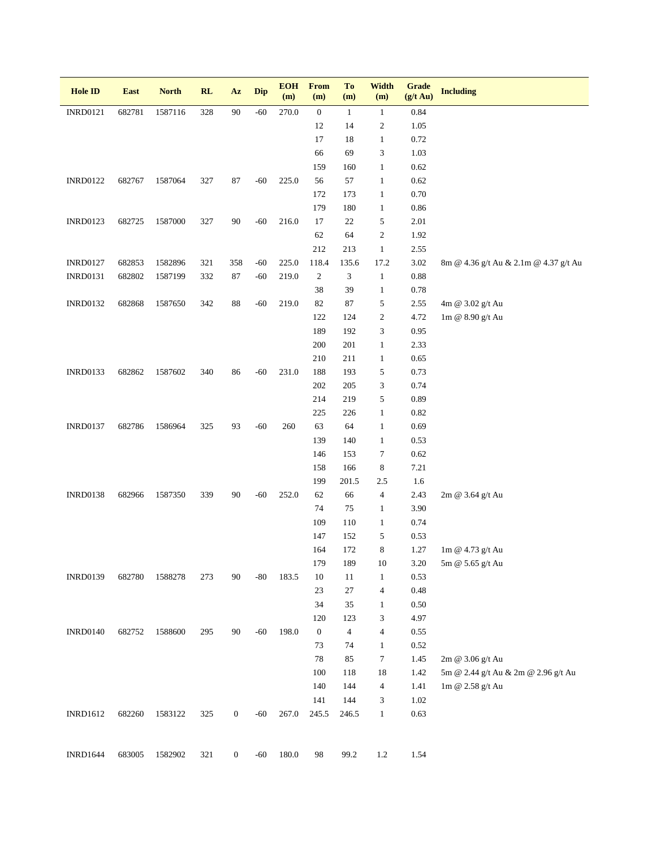| <b>Hole ID</b>  | East   | <b>North</b> | RL  | $\mathbf{A}\mathbf{z}$ | <b>Dip</b> | <b>EOH</b><br>(m) | <b>From</b><br>(m) | To<br>(m)                   | Width<br>(m)             | <b>Grade</b><br>$(g/t \text{ Au})$ | <b>Including</b>                      |
|-----------------|--------|--------------|-----|------------------------|------------|-------------------|--------------------|-----------------------------|--------------------------|------------------------------------|---------------------------------------|
| <b>INRD0121</b> | 682781 | 1587116      | 328 | $90\text{ }$           | $-60$      | 270.0             | $\boldsymbol{0}$   | $\mathbf{1}$                | $\mathbf{1}$             | 0.84                               |                                       |
|                 |        |              |     |                        |            |                   | 12                 | 14                          | 2                        | 1.05                               |                                       |
|                 |        |              |     |                        |            |                   | 17                 | 18                          | $\mathbf{1}$             | 0.72                               |                                       |
|                 |        |              |     |                        |            |                   | 66                 | 69                          | 3                        | 1.03                               |                                       |
|                 |        |              |     |                        |            |                   | 159                | 160                         | $\mathbf{1}$             | 0.62                               |                                       |
| <b>INRD0122</b> | 682767 | 1587064      | 327 | 87                     | $-60$      | 225.0             | 56                 | 57                          | $\mathbf{1}$             | 0.62                               |                                       |
|                 |        |              |     |                        |            |                   | 172                | 173                         | $\mathbf{1}$             | 0.70                               |                                       |
|                 |        |              |     |                        |            |                   | 179                | 180                         | $\mathbf{1}$             | 0.86                               |                                       |
| <b>INRD0123</b> | 682725 | 1587000      | 327 | $90\,$                 | $-60$      | 216.0             | 17                 | $22\,$                      | 5                        | 2.01                               |                                       |
|                 |        |              |     |                        |            |                   | 62                 | 64                          | $\boldsymbol{2}$         | 1.92                               |                                       |
|                 |        |              |     |                        |            |                   | 212                | 213                         | $\mathbf{1}$             | 2.55                               |                                       |
| <b>INRD0127</b> | 682853 | 1582896      | 321 | 358                    | $-60$      | 225.0             | 118.4              | 135.6                       | 17.2                     | 3.02                               | 8m @ 4.36 g/t Au & 2.1m @ 4.37 g/t Au |
| <b>INRD0131</b> | 682802 | 1587199      | 332 | 87                     | $-60$      | 219.0             | $\sqrt{2}$         | $\ensuremath{\mathfrak{Z}}$ | $\mathbf{1}$             | $\rm 0.88$                         |                                       |
|                 |        |              |     |                        |            |                   | $38\,$             | 39                          | $\mathbf{1}$             | 0.78                               |                                       |
| <b>INRD0132</b> | 682868 | 1587650      | 342 | $88\,$                 | $-60$      | 219.0             | 82                 | 87                          | 5                        | 2.55                               | 4m @ 3.02 g/t Au                      |
|                 |        |              |     |                        |            |                   | 122                | 124                         | 2                        | 4.72                               | 1m @ 8.90 g/t Au                      |
|                 |        |              |     |                        |            |                   | 189                | 192                         | 3                        | 0.95                               |                                       |
|                 |        |              |     |                        |            |                   | $200\,$            | 201                         | $\mathbf{1}$             | 2.33                               |                                       |
| <b>INRD0133</b> |        |              | 340 | 86                     | $-60$      | 231.0             | 210<br>188         | 211<br>193                  | $\mathbf{1}$             | 0.65<br>0.73                       |                                       |
|                 | 682862 | 1587602      |     |                        |            |                   | $202\,$            | 205                         | 5<br>3                   | 0.74                               |                                       |
|                 |        |              |     |                        |            |                   | 214                | 219                         | 5                        | 0.89                               |                                       |
|                 |        |              |     |                        |            |                   | 225                | 226                         | $\mathbf{1}$             | 0.82                               |                                       |
| <b>INRD0137</b> | 682786 | 1586964      | 325 | 93                     | $-60$      | 260               | 63                 | 64                          | $\mathbf{1}$             | 0.69                               |                                       |
|                 |        |              |     |                        |            |                   | 139                | 140                         | $\mathbf{1}$             | 0.53                               |                                       |
|                 |        |              |     |                        |            |                   | 146                | 153                         | 7                        | 0.62                               |                                       |
|                 |        |              |     |                        |            |                   | 158                | 166                         | 8                        | 7.21                               |                                       |
|                 |        |              |     |                        |            |                   | 199                | 201.5                       | 2.5                      | 1.6                                |                                       |
| <b>INRD0138</b> | 682966 | 1587350      | 339 | 90                     | $-60$      | 252.0             | 62                 | 66                          | $\overline{\mathcal{L}}$ | 2.43                               | 2m @ 3.64 g/t Au                      |
|                 |        |              |     |                        |            |                   | 74                 | $75\,$                      | $\mathbf{1}$             | 3.90                               |                                       |
|                 |        |              |     |                        |            |                   | 109                | 110                         | $\mathbf{1}$             | 0.74                               |                                       |
|                 |        |              |     |                        |            |                   | 147                | 152                         | 5                        | 0.53                               |                                       |
|                 |        |              |     |                        |            |                   | 164                | 172                         | 8                        | 1.27                               | 1m @ 4.73 g/t Au                      |
|                 |        |              |     |                        |            |                   | 179                | 189                         | 10                       | 3.20                               | 5m @ 5.65 g/t Au                      |
| <b>INRD0139</b> | 682780 | 1588278      | 273 | 90                     | $-80$      | 183.5             | $10\,$             | 11                          | $\mathbf{1}$             | 0.53                               |                                       |
|                 |        |              |     |                        |            |                   | 23                 | $27\,$                      | 4                        | 0.48                               |                                       |
|                 |        |              |     |                        |            |                   | $34\,$             | 35                          | $\mathbf{1}$             | 0.50                               |                                       |
|                 |        |              |     |                        |            |                   | 120                | 123                         | 3                        | 4.97                               |                                       |
| <b>INRD0140</b> | 682752 | 1588600      | 295 | 90                     | $-60$      | 198.0             | $\boldsymbol{0}$   | $\overline{4}$              | $\overline{\mathbf{4}}$  | 0.55                               |                                       |
|                 |        |              |     |                        |            |                   | 73                 | 74                          | $\mathbf{1}$             | 0.52                               |                                       |
|                 |        |              |     |                        |            |                   | $78\,$             | 85                          | 7                        | 1.45                               | 2m @ 3.06 g/t Au                      |
|                 |        |              |     |                        |            |                   | 100                | 118                         | 18                       | 1.42                               | 5m @ 2.44 g/t Au & 2m @ 2.96 g/t Au   |
|                 |        |              |     |                        |            |                   | 140                | 144                         | 4                        | 1.41                               | 1m @ 2.58 g/t Au                      |
|                 |        |              |     |                        |            |                   | 141                | 144                         | 3                        | 1.02                               |                                       |
| <b>INRD1612</b> | 682260 | 1583122      | 325 | $\boldsymbol{0}$       | $-60$      | 267.0             | 245.5              | 246.5                       | $\mathbf{1}$             | 0.63                               |                                       |
|                 |        |              |     |                        |            |                   |                    |                             |                          |                                    |                                       |
| <b>INRD1644</b> | 683005 | 1582902      | 321 | $\mathbf{0}$           | $-60$      | 180.0             | 98                 | 99.2                        | 1.2                      | 1.54                               |                                       |